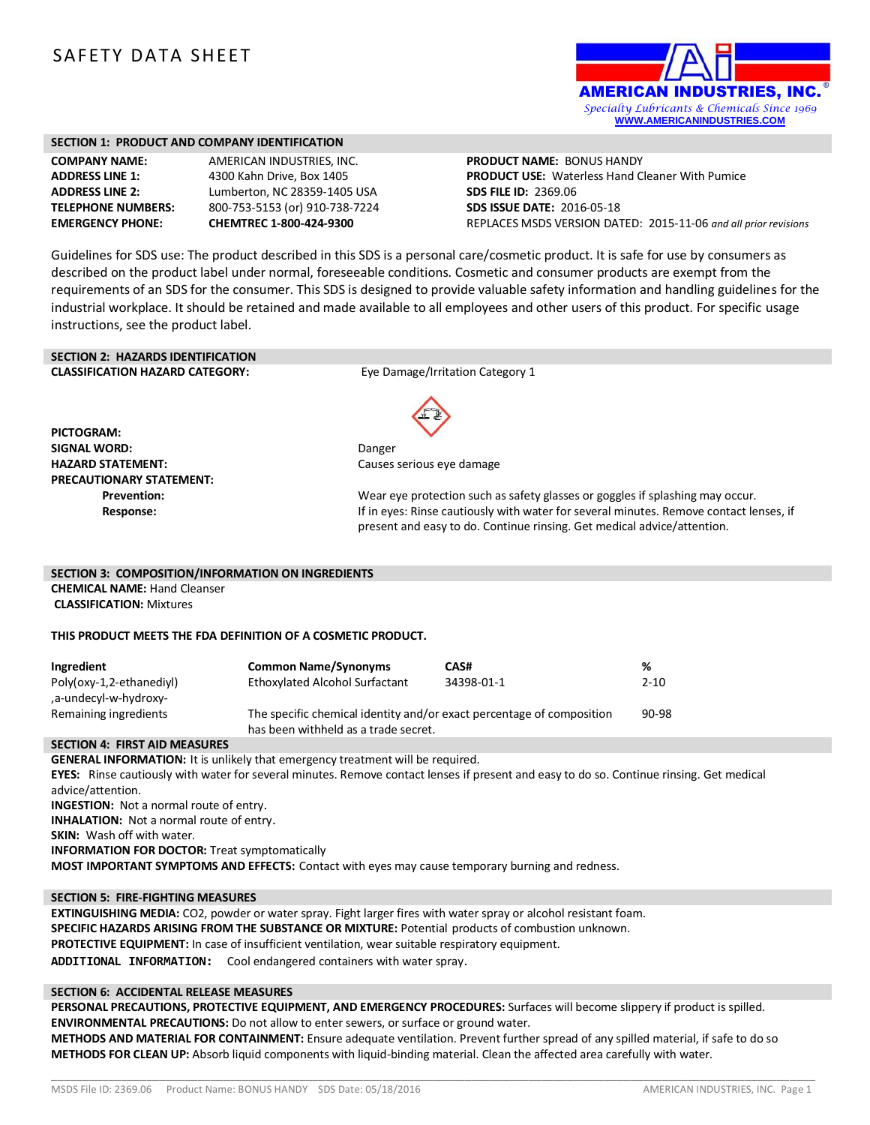# SAFETY DATA SHEET



#### **SECTION 1: PRODUCT AND COMPANY IDENTIFICATION**

| <b>COMPANY NAME:</b>     |
|--------------------------|
| <b>ADDRESS LINE 1:</b>   |
| <b>ADDRESS LINE 2:</b>   |
| <b>TELEPHONE NUMBERS</b> |
| <b>EMERGENCY PHONE:</b>  |

**AMERICAN INDUSTRIES, INC. ADDRESS LINE 1:** 4300 Kahn Drive, Box 1405 **ADDRESS LINE 2:** Lumberton, NC 28359-1405 USA **TELEPHONE NUMBERS:** 800-753-5153 (or) 910-738-7224 **EMERGENCY PHONE: CHEMTREC 1-800-424-9300**

**PRODUCT NAME:** BONUS HANDY **PRODUCT USE:** Waterless Hand Cleaner With Pumice **SDS FILE ID:** 2369.06 **SDS ISSUE DATE:** 2016-05-18 REPLACES MSDS VERSION DATED: 2015-11-06 *and all prior revisions*

Guidelines for SDS use: The product described in this SDS is a personal care/cosmetic product. It is safe for use by consumers as described on the product label under normal, foreseeable conditions. Cosmetic and consumer products are exempt from the requirements of an SDS for the consumer. This SDS is designed to provide valuable safety information and handling guidelines for the industrial workplace. It should be retained and made available to all employees and other users of this product. For specific usage instructions, see the product label.

# **SECTION 2: HAZARDS IDENTIFICATION**

**CLASSIFICATION HAZARD CATEGORY:** Eye Damage/Irritation Category 1

**PICTOGRAM: SIGNAL WORD:** Danger **HAZARD STATEMENT:** Causes serious eye damage **PRECAUTIONARY STATEMENT:**



**Prevention:** Wear eye protection such as safety glasses or goggles if splashing may occur. **Response:** The sponse of the eyes: Rinse cautiously with water for several minutes. Remove contact lenses, if present and easy to do. Continue rinsing. Get medical advice/attention.

#### **SECTION 3: COMPOSITION/INFORMATION ON INGREDIENTS**

**CHEMICAL NAME:** Hand Cleanser **CLASSIFICATION:** Mixtures

#### **THIS PRODUCT MEETS THE FDA DEFINITION OF A COSMETIC PRODUCT.**

| Ingredient                                        | <b>Common Name/Synonyms</b>                                                                                   | CAS#       | %        |
|---------------------------------------------------|---------------------------------------------------------------------------------------------------------------|------------|----------|
| Poly(oxy-1,2-ethanediyl)<br>.a-undecyl-w-hydroxy- | Ethoxylated Alcohol Surfactant                                                                                | 34398-01-1 | $2 - 10$ |
| Remaining ingredients                             | The specific chemical identity and/or exact percentage of composition<br>has been withheld as a trade secret. |            | 90-98    |

#### **SECTION 4: FIRST AID MEASURES**

**GENERAL INFORMATION:** It is unlikely that emergency treatment will be required. **EYES:** Rinse cautiously with water for several minutes. Remove contact lenses if present and easy to do so. Continue rinsing. Get medical advice/attention. **INGESTION:** Not a normal route of entry. **INHALATION:** Not a normal route of entry. **SKIN:** Wash off with water. **INFORMATION FOR DOCTOR:** Treat symptomatically **MOST IMPORTANT SYMPTOMS AND EFFECTS:** Contact with eyes may cause temporary burning and redness.

#### **SECTION 5: FIRE-FIGHTING MEASURES**

**EXTINGUISHING MEDIA:** CO2, powder or water spray. Fight larger fires with water spray or alcohol resistant foam. **SPECIFIC HAZARDS ARISING FROM THE SUBSTANCE OR MIXTURE:** Potential products of combustion unknown. **PROTECTIVE EQUIPMENT:** In case of insufficient ventilation, wear suitable respiratory equipment. **ADDITIONAL INFORMATION:** Cool endangered containers with water spray.

#### **SECTION 6: ACCIDENTAL RELEASE MEASURES**

**PERSONAL PRECAUTIONS, PROTECTIVE EQUIPMENT, AND EMERGENCY PROCEDURES:** Surfaces will become slippery if product is spilled. **ENVIRONMENTAL PRECAUTIONS:** Do not allow to enter sewers, or surface or ground water.

**METHODS AND MATERIAL FOR CONTAINMENT:** Ensure adequate ventilation. Prevent further spread of any spilled material, if safe to do so **METHODS FOR CLEAN UP:** Absorb liquid components with liquid-binding material. Clean the affected area carefully with water.

\_\_\_\_\_\_\_\_\_\_\_\_\_\_\_\_\_\_\_\_\_\_\_\_\_\_\_\_\_\_\_\_\_\_\_\_\_\_\_\_\_\_\_\_\_\_\_\_\_\_\_\_\_\_\_\_\_\_\_\_\_\_\_\_\_\_\_\_\_\_\_\_\_\_\_\_\_\_\_\_\_\_\_\_\_\_\_\_\_\_\_\_\_\_\_\_\_\_\_\_\_\_\_\_\_\_\_\_\_\_\_\_\_\_\_\_\_\_\_\_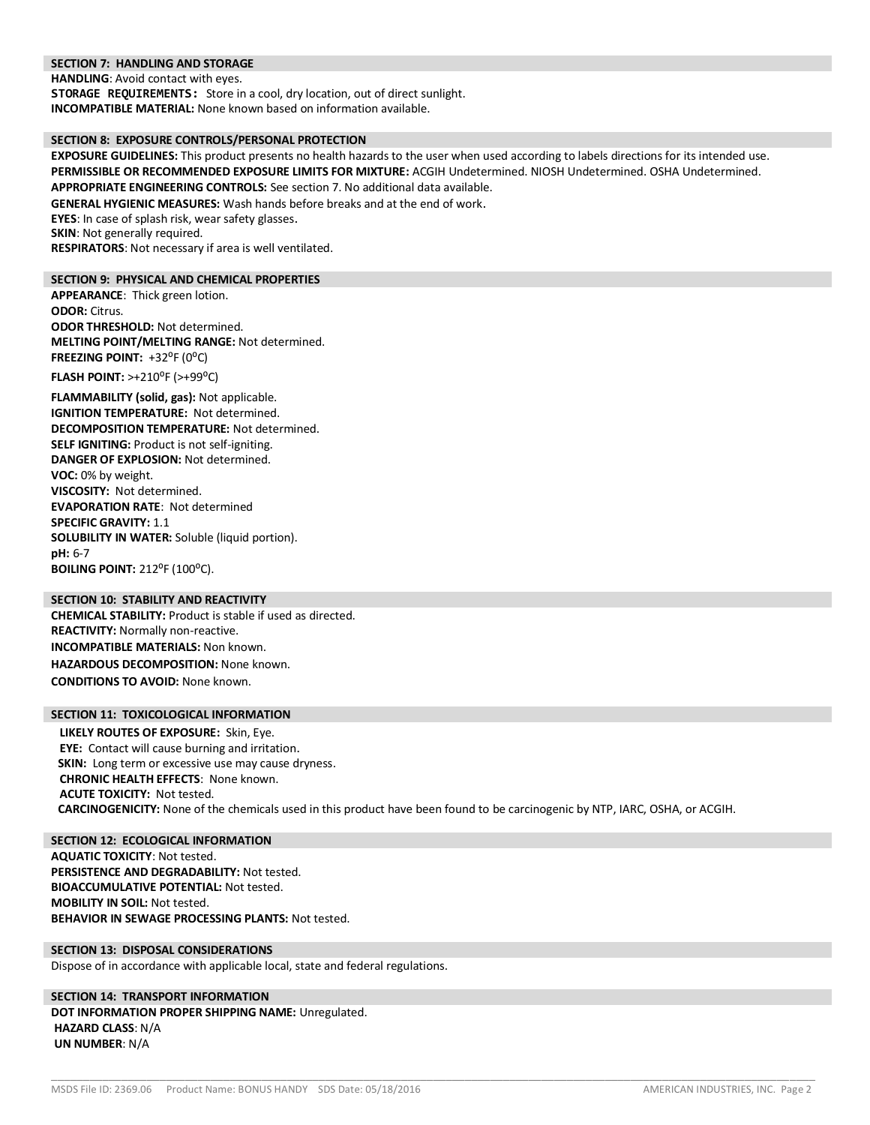#### **SECTION 7: HANDLING AND STORAGE**

**HANDLING**: Avoid contact with eyes.

**STORAGE REQUIREMENTS:** Store in a cool, dry location, out of direct sunlight. **INCOMPATIBLE MATERIAL:** None known based on information available.

#### **SECTION 8: EXPOSURE CONTROLS/PERSONAL PROTECTION**

**EXPOSURE GUIDELINES:** This product presents no health hazards to the user when used according to labels directions for its intended use. **PERMISSIBLE OR RECOMMENDED EXPOSURE LIMITS FOR MIXTURE:** ACGIH Undetermined. NIOSH Undetermined. OSHA Undetermined. **APPROPRIATE ENGINEERING CONTROLS:** See section 7. No additional data available.

**GENERAL HYGIENIC MEASURES:** Wash hands before breaks and at the end of work.

**EYES**: In case of splash risk, wear safety glasses.

**SKIN:** Not generally required.

**RESPIRATORS**: Not necessary if area is well ventilated.

#### **SECTION 9: PHYSICAL AND CHEMICAL PROPERTIES**

**APPEARANCE**: Thick green lotion. **ODOR:** Citrus. **ODOR THRESHOLD:** Not determined. **MELTING POINT/MELTING RANGE:** Not determined. FREEZING POINT: +32<sup>o</sup>F (0<sup>o</sup>C)

**FLASH POINT: >+210<sup>°</sup>F (>+99<sup>°</sup>C)** 

**FLAMMABILITY (solid, gas):** Not applicable. **IGNITION TEMPERATURE:** Not determined. **DECOMPOSITION TEMPERATURE:** Not determined. **SELF IGNITING:** Product is not self-igniting. **DANGER OF EXPLOSION:** Not determined. **VOC:** 0% by weight. **VISCOSITY:** Not determined. **EVAPORATION RATE**: Not determined **SPECIFIC GRAVITY:** 1.1 **SOLUBILITY IN WATER:** Soluble (liquid portion). **pH:** 6-7 **BOILING POINT: 212°F (100°C).** 

# **SECTION 10: STABILITY AND REACTIVITY**

**CHEMICAL STABILITY:** Product is stable if used as directed. **REACTIVITY:** Normally non-reactive. **INCOMPATIBLE MATERIALS:** Non known. **HAZARDOUS DECOMPOSITION:** None known. **CONDITIONS TO AVOID:** None known.

#### **SECTION 11: TOXICOLOGICAL INFORMATION**

**LIKELY ROUTES OF EXPOSURE:** Skin, Eye. **EYE:** Contact will cause burning and irritation. **SKIN:** Long term or excessive use may cause dryness. **CHRONIC HEALTH EFFECTS**: None known. **ACUTE TOXICITY:** Not tested. **CARCINOGENICITY:** None of the chemicals used in this product have been found to be carcinogenic by NTP, IARC, OSHA, or ACGIH.

\_\_\_\_\_\_\_\_\_\_\_\_\_\_\_\_\_\_\_\_\_\_\_\_\_\_\_\_\_\_\_\_\_\_\_\_\_\_\_\_\_\_\_\_\_\_\_\_\_\_\_\_\_\_\_\_\_\_\_\_\_\_\_\_\_\_\_\_\_\_\_\_\_\_\_\_\_\_\_\_\_\_\_\_\_\_\_\_\_\_\_\_\_\_\_\_\_\_\_\_\_\_\_\_\_\_\_\_\_\_\_\_\_\_\_\_\_\_\_\_

**SECTION 12: ECOLOGICAL INFORMATION AQUATIC TOXICITY**: Not tested. **PERSISTENCE AND DEGRADABILITY:** Not tested. **BIOACCUMULATIVE POTENTIAL:** Not tested. **MOBILITY IN SOIL:** Not tested. **BEHAVIOR IN SEWAGE PROCESSING PLANTS:** Not tested.

# **SECTION 13: DISPOSAL CONSIDERATIONS**

Dispose of in accordance with applicable local, state and federal regulations.

### **SECTION 14: TRANSPORT INFORMATION DOT INFORMATION PROPER SHIPPING NAME:** Unregulated. **HAZARD CLASS**: N/A **UN NUMBER**: N/A